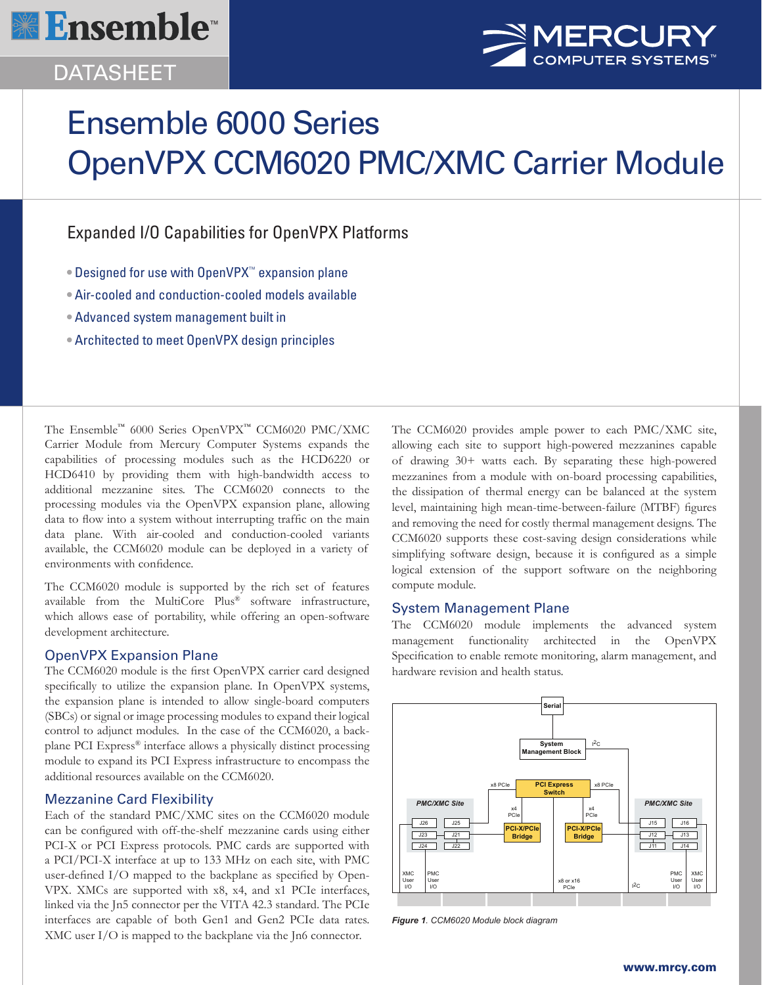

## **DATASHEET**



# Ensemble 6000 Series OpenVPX CCM6020 PMC/XMC Carrier Module

## Expanded I/O Capabilities for OpenVPX Platforms

- Designed for use with OpenVPX™ expansion plane
- Air-cooled and conduction-cooled models available
- Advanced system management built in
- Architected to meet OpenVPX design principles

The Ensemble™ 6000 Series OpenVPX™ CCM6020 PMC/XMC Carrier Module from Mercury Computer Systems expands the capabilities of processing modules such as the HCD6220 or HCD6410 by providing them with high-bandwidth access to additional mezzanine sites. The CCM6020 connects to the processing modules via the OpenVPX expansion plane, allowing data to flow into a system without interrupting traffic on the main data plane. With air-cooled and conduction-cooled variants available, the CCM6020 module can be deployed in a variety of environments with confidence.

The CCM6020 module is supported by the rich set of features available from the MultiCore Plus® software infrastructure, which allows ease of portability, while offering an open-software development architecture.

#### OpenVPX Expansion Plane

The CCM6020 module is the first OpenVPX carrier card designed specifically to utilize the expansion plane. In OpenVPX systems, the expansion plane is intended to allow single-board computers (SBCs) or signal or image processing modules to expand their logical control to adjunct modules. In the case of the CCM6020, a backplane PCI Express® interface allows a physically distinct processing module to expand its PCI Express infrastructure to encompass the additional resources available on the CCM6020.

#### Mezzanine Card Flexibility

Each of the standard PMC/XMC sites on the CCM6020 module can be configured with off-the-shelf mezzanine cards using either PCI-X or PCI Express protocols. PMC cards are supported with a PCI/PCI-X interface at up to 133 MHz on each site, with PMC user-defined I/O mapped to the backplane as specified by Open-VPX. XMCs are supported with x8, x4, and x1 PCIe interfaces, linked via the Jn5 connector per the VITA 42.3 standard. The PCIe interfaces are capable of both Gen1 and Gen2 PCIe data rates. XMC user I/O is mapped to the backplane via the Jn6 connector.

The CCM6020 provides ample power to each PMC/XMC site, allowing each site to support high-powered mezzanines capable of drawing 30+ watts each. By separating these high-powered mezzanines from a module with on-board processing capabilities, the dissipation of thermal energy can be balanced at the system level, maintaining high mean-time-between-failure (MTBF) figures and removing the need for costly thermal management designs. The CCM6020 supports these cost-saving design considerations while simplifying software design, because it is configured as a simple logical extension of the support software on the neighboring compute module.

#### System Management Plane

The CCM6020 module implements the advanced system management functionality architected in the OpenVPX Specification to enable remote monitoring, alarm management, and hardware revision and health status.



*Figure 1. CCM6020 Module block diagram*